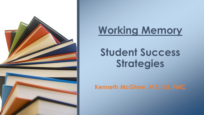

# **Working Memory**

# **Student Success Strategies**

**Kenneth McGhee, M.S. Ed.,PMC**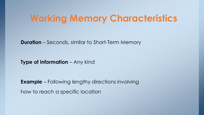#### **Working Memory Characteristics**

**Duration** – Seconds, similar to Short-Term Memory

**Type of Information – Any kind** 

**Example** – Following lengthy directions involving how to reach a specific location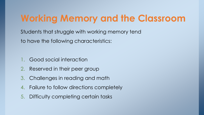## **Working Memory and the Classroom**

Students that struggle with working memory tend

to have the following characteristics:

- 1. Good social interaction
- 2. Reserved in their peer group
- 3. Challenges in reading and math
- 4. Failure to follow directions completely
- 5. Difficulty completing certain tasks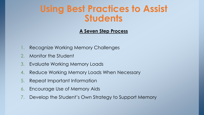#### **Using Best Practices to Assist Students**

#### **A Seven Step Process**

- Recognize Working Memory Challenges
- 2. Monitor the Student
- 3. Evaluate Working Memory Loads
- 4. Reduce Working Memory Loads When Necessary
- 5. Repeat Important Information
- 6. Encourage Use of Memory Aids
- 7. Develop the Student's Own Strategy to Support Memory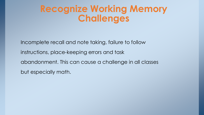#### **Recognize Working Memory Challenges**

Incomplete recall and note taking, failure to follow

instructions, place-keeping errors and task

abandonment. This can cause a challenge in all classes

but especially math.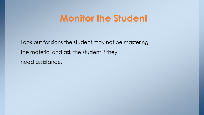#### **Monitor the Student**

Look out for signs the student may not be mastering the material and ask the student if they need assistance.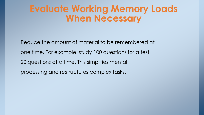#### **Evaluate Working Memory Loads When Necessary**

Reduce the amount of material to be remembered at one time. For example, study 100 questions for a test, 20 questions at a time. This simplifies mental processing and restructures complex tasks.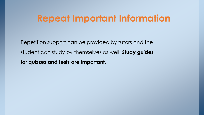#### **Repeat Important Information**

Repetition support can be provided by tutors and the student can study by themselves as well. **Study guides for quizzes and tests are important.**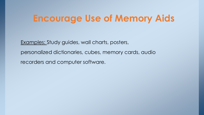### **Encourage Use of Memory Aids**

Examples: Study guides, wall charts, posters,

personalized dictionaries, cubes, memory cards, audio

recorders and computer software.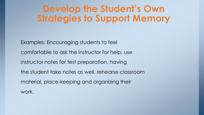#### **Develop the Student's Own Strategies to Support Memory**

Examples: Encouraging students to feel comfortable to ask the instructor for help, use instructor notes for test preparation, having the student take notes as well, rehearse classroom material, place-keeping and organizing their work.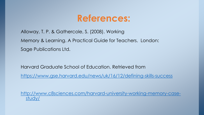#### **References:**

Alloway, T. P. & Gathercole, S. (2008). Working Memory & Learning. A Practical Guide for Teachers. London: Sage Publications Ltd.

Harvard Graduate School of Education. Retrieved from

<https://www.gse.harvard.edu/news/uk/16/12/defining-skills-success>

[http://www.c8sciences.com/harvard-university-working-memory-case](http://www.c8sciences.com/harvard-university-working-memory-case-study/)study/